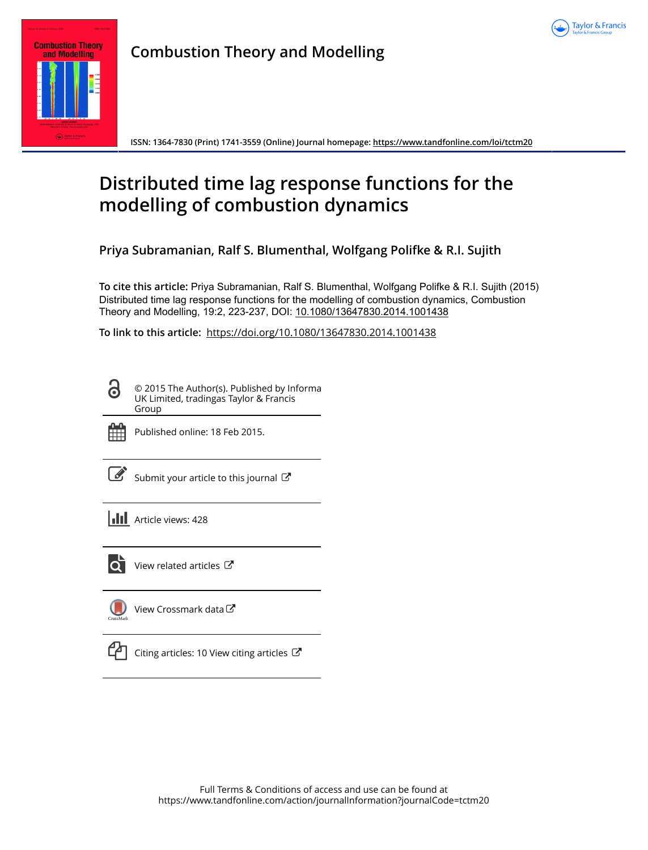



**Combustion Theory and Modelling**

**ISSN: 1364-7830 (Print) 1741-3559 (Online) Journal homepage:<https://www.tandfonline.com/loi/tctm20>**

# **Distributed time lag response functions for the modelling of combustion dynamics**

**Priya Subramanian, Ralf S. Blumenthal, Wolfgang Polifke & R.I. Sujith**

**To cite this article:** Priya Subramanian, Ralf S. Blumenthal, Wolfgang Polifke & R.I. Sujith (2015) Distributed time lag response functions for the modelling of combustion dynamics, Combustion Theory and Modelling, 19:2, 223-237, DOI: [10.1080/13647830.2014.1001438](https://www.tandfonline.com/action/showCitFormats?doi=10.1080/13647830.2014.1001438)

**To link to this article:** <https://doi.org/10.1080/13647830.2014.1001438>

© 2015 The Author(s). Published by Informa UK Limited, tradingas Taylor & Francis Group



6

Published online: 18 Feb 2015.

[Submit your article to this journal](https://www.tandfonline.com/action/authorSubmission?journalCode=tctm20&show=instructions)  $\mathbb{Z}$ 

**III** Article views: 428



 $\overline{Q}$  [View related articles](https://www.tandfonline.com/doi/mlt/10.1080/13647830.2014.1001438)  $\overline{C}$ 

[View Crossmark data](http://crossmark.crossref.org/dialog/?doi=10.1080/13647830.2014.1001438&domain=pdf&date_stamp=2015-02-18)<sup>C</sup>



[Citing articles: 10 View citing articles](https://www.tandfonline.com/doi/citedby/10.1080/13647830.2014.1001438#tabModule)  $\mathbb{Z}$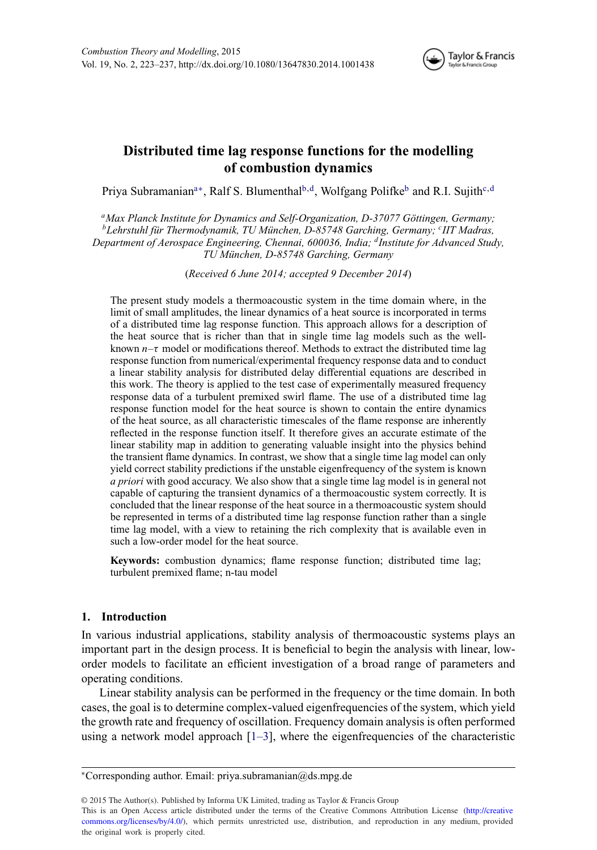<span id="page-1-4"></span><span id="page-1-3"></span>

# **Distributed time lag response functions for the modelling of combustion dynamics**

Priya Subramanian<sup>a[∗](#page-1-1)</sup>, Ralf S. Blumenthal<sup>b,[d](#page-1-3)</sup>, Wolfgang Polifke<sup>b</sup> and R.I. Sujith<sup>c,d</sup>

<span id="page-1-2"></span><span id="page-1-0"></span>*aMax Planck Institute for Dynamics and Self-Organization, D-37077 Gottingen, Germany; ¨ bLehrstuhl fur Thermodynamik, TU M ¨ unchen, D-85748 Garching, Germany; ¨ <sup>c</sup> IIT Madras, Department of Aerospace Engineering, Chennai, 600036, India; dInstitute for Advanced Study, TU Munchen, D-85748 Garching, Germany ¨*

(*Received 6 June 2014; accepted 9 December 2014*)

The present study models a thermoacoustic system in the time domain where, in the limit of small amplitudes, the linear dynamics of a heat source is incorporated in terms of a distributed time lag response function. This approach allows for a description of the heat source that is richer than that in single time lag models such as the wellknown  $n-\tau$  model or modifications thereof. Methods to extract the distributed time lag response function from numerical/experimental frequency response data and to conduct a linear stability analysis for distributed delay differential equations are described in this work. The theory is applied to the test case of experimentally measured frequency response data of a turbulent premixed swirl flame. The use of a distributed time lag response function model for the heat source is shown to contain the entire dynamics of the heat source, as all characteristic timescales of the flame response are inherently reflected in the response function itself. It therefore gives an accurate estimate of the linear stability map in addition to generating valuable insight into the physics behind the transient flame dynamics. In contrast, we show that a single time lag model can only yield correct stability predictions if the unstable eigenfrequency of the system is known *a priori* with good accuracy. We also show that a single time lag model is in general not capable of capturing the transient dynamics of a thermoacoustic system correctly. It is concluded that the linear response of the heat source in a thermoacoustic system should be represented in terms of a distributed time lag response function rather than a single time lag model, with a view to retaining the rich complexity that is available even in such a low-order model for the heat source.

**Keywords:** combustion dynamics; flame response function; distributed time lag; turbulent premixed flame; n-tau model

# **1. Introduction**

<span id="page-1-5"></span>In various industrial applications, stability analysis of thermoacoustic systems plays an important part in the design process. It is beneficial to begin the analysis with linear, loworder models to facilitate an efficient investigation of a broad range of parameters and operating conditions.

Linear stability analysis can be performed in the frequency or the time domain. In both cases, the goal is to determine complex-valued eigenfrequencies of the system, which yield the growth rate and frequency of oscillation. Frequency domain analysis is often performed using a network model approach  $[1-3]$ , where the eigenfrequencies of the characteristic

© 2015 The Author(s). Published by Informa UK Limited, trading as Taylor & Francis Group

This is an Open Access article distributed under the terms of the Creative Commons Attribution License (http://creative commons.org/licenses/by/4.0/), which permits unrestricted use, distribution, and reproduction in any medium, provided the original work is properly cited.

<span id="page-1-1"></span><sup>∗</sup>Corresponding author. Email: [priya.subramanian@ds.mpg.de](mailto:priya.subramanian@ds.mpg.de)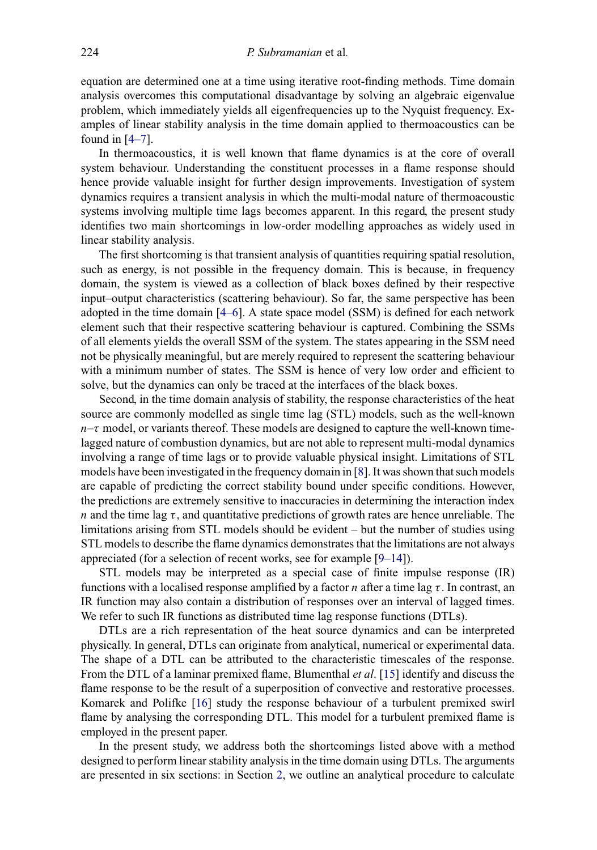equation are determined one at a time using iterative root-finding methods. Time domain analysis overcomes this computational disadvantage by solving an algebraic eigenvalue problem, which immediately yields all eigenfrequencies up to the Nyquist frequency. Examples of linear stability analysis in the time domain applied to thermoacoustics can be found in  $[4-7]$ .

In thermoacoustics, it is well known that flame dynamics is at the core of overall system behaviour. Understanding the constituent processes in a flame response should hence provide valuable insight for further design improvements. Investigation of system dynamics requires a transient analysis in which the multi-modal nature of thermoacoustic systems involving multiple time lags becomes apparent. In this regard, the present study identifies two main shortcomings in low-order modelling approaches as widely used in linear stability analysis.

The first shortcoming is that transient analysis of quantities requiring spatial resolution, such as energy, is not possible in the frequency domain. This is because, in frequency domain, the system is viewed as a collection of black boxes defined by their respective input–output characteristics (scattering behaviour). So far, the same perspective has been adopted in the time domain [\[4–6\]](#page-12-1). A state space model (SSM) is defined for each network element such that their respective scattering behaviour is captured. Combining the SSMs of all elements yields the overall SSM of the system. The states appearing in the SSM need not be physically meaningful, but are merely required to represent the scattering behaviour with a minimum number of states. The SSM is hence of very low order and efficient to solve, but the dynamics can only be traced at the interfaces of the black boxes.

Second, in the time domain analysis of stability, the response characteristics of the heat source are commonly modelled as single time lag (STL) models, such as the well-known  $n-\tau$  model, or variants thereof. These models are designed to capture the well-known timelagged nature of combustion dynamics, but are not able to represent multi-modal dynamics involving a range of time lags or to provide valuable physical insight. Limitations of STL models have been investigated in the frequency domain in [\[8\]](#page-13-0). It was shown that such models are capable of predicting the correct stability bound under specific conditions. However, the predictions are extremely sensitive to inaccuracies in determining the interaction index n and the time lag  $\tau$ , and quantitative predictions of growth rates are hence unreliable. The limitations arising from STL models should be evident – but the number of studies using STL models to describe the flame dynamics demonstrates that the limitations are not always appreciated (for a selection of recent works, see for example [\[9–14\]](#page-13-1)).

STL models may be interpreted as a special case of finite impulse response (IR) functions with a localised response amplified by a factor *n* after a time lag  $\tau$ . In contrast, an IR function may also contain a distribution of responses over an interval of lagged times. We refer to such IR functions as distributed time lag response functions (DTLs).

DTLs are a rich representation of the heat source dynamics and can be interpreted physically. In general, DTLs can originate from analytical, numerical or experimental data. The shape of a DTL can be attributed to the characteristic timescales of the response. From the DTL of a laminar premixed flame, Blumenthal *et al*. [\[15\]](#page-13-2) identify and discuss the flame response to be the result of a superposition of convective and restorative processes. Komarek and Polifke [\[16\]](#page-13-3) study the response behaviour of a turbulent premixed swirl flame by analysing the corresponding DTL. This model for a turbulent premixed flame is employed in the present paper.

In the present study, we address both the shortcomings listed above with a method designed to perform linear stability analysis in the time domain using DTLs. The arguments are presented in six sections: in Section [2,](#page-3-0) we outline an analytical procedure to calculate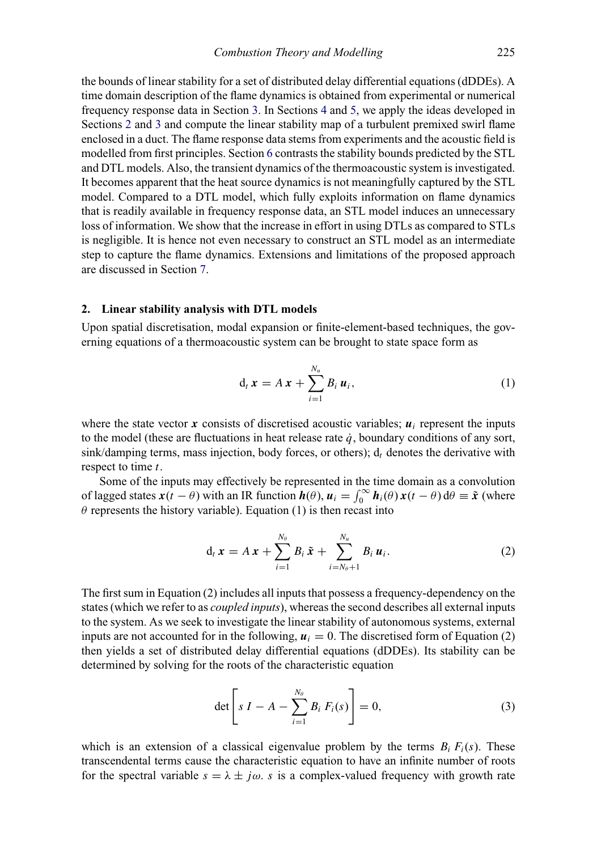the bounds of linear stability for a set of distributed delay differential equations (dDDEs). A time domain description of the flame dynamics is obtained from experimental or numerical frequency response data in Section [3.](#page-4-0) In Sections [4](#page-5-0) and [5,](#page-7-0) we apply the ideas developed in Sections [2](#page-3-0) and [3](#page-4-0) and compute the linear stability map of a turbulent premixed swirl flame enclosed in a duct. The flame response data stems from experiments and the acoustic field is modelled from first principles. Section [6](#page-8-0) contrasts the stability bounds predicted by the STL and DTL models. Also, the transient dynamics of the thermoacoustic system is investigated. It becomes apparent that the heat source dynamics is not meaningfully captured by the STL model. Compared to a DTL model, which fully exploits information on flame dynamics that is readily available in frequency response data, an STL model induces an unnecessary loss of information. We show that the increase in effort in using DTLs as compared to STLs is negligible. It is hence not even necessary to construct an STL model as an intermediate step to capture the flame dynamics. Extensions and limitations of the proposed approach are discussed in Section [7.](#page-11-0)

# **2. Linear stability analysis with DTL models**

<span id="page-3-0"></span>Upon spatial discretisation, modal expansion or finite-element-based techniques, the governing equations of a thermoacoustic system can be brought to state space form as

$$
\mathrm{d}_t\,\boldsymbol{x} = A\,\boldsymbol{x} + \sum_{i=1}^{N_u} B_i\,\boldsymbol{u}_i,\tag{1}
$$

where the state vector x consists of discretised acoustic variables;  $u_i$  represent the inputs to the model (these are fluctuations in heat release rate  $\dot{q}$ , boundary conditions of any sort,  $sink/d$  amping terms, mass injection, body forces, or others);  $d_t$  denotes the derivative with respect to time  $t$ .

Some of the inputs may effectively be represented in the time domain as a convolution of lagged states  $\mathbf{x}(t - \theta)$  with an IR function  $\mathbf{h}(\theta)$ ,  $\mathbf{u}_i = \int_0^\infty \mathbf{h}_i(\theta) \mathbf{x}(t - \theta) d\theta \equiv \mathbf{\tilde{x}}$  (where  $\theta$  represents the history variable). Equation (1) is then recast into

$$
\mathrm{d}_t\,\boldsymbol{x} = A\,\boldsymbol{x} + \sum_{i=1}^{N_\theta} B_i\,\tilde{\boldsymbol{x}} + \sum_{i=N_\theta+1}^{N_u} B_i\,\boldsymbol{u}_i. \tag{2}
$$

The first sum in Equation (2) includes all inputs that possess a frequency-dependency on the states (which we refer to as *coupled inputs*), whereas the second describes all external inputs to the system. As we seek to investigate the linear stability of autonomous systems, external inputs are not accounted for in the following,  $u_i = 0$ . The discretised form of Equation (2) then yields a set of distributed delay differential equations (dDDEs). Its stability can be determined by solving for the roots of the characteristic equation

$$
\det \left[ s \, I - A - \sum_{i=1}^{N_{\theta}} B_i \, F_i(s) \right] = 0, \tag{3}
$$

which is an extension of a classical eigenvalue problem by the terms  $B_i F_i(s)$ . These transcendental terms cause the characteristic equation to have an infinite number of roots for the spectral variable  $s = \lambda \pm j\omega$ . s is a complex-valued frequency with growth rate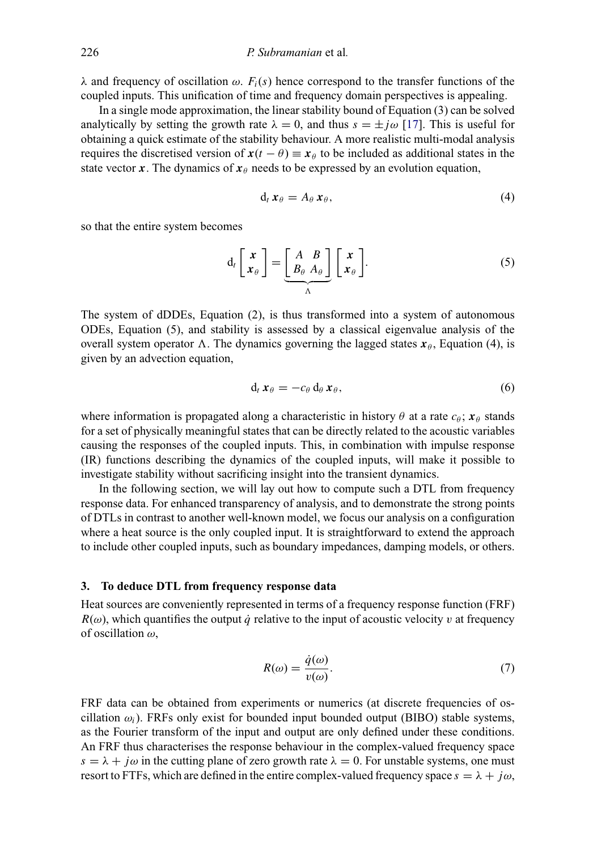λ and frequency of oscillation  $ω$ .  $F_i(s)$  hence correspond to the transfer functions of the coupled inputs. This unification of time and frequency domain perspectives is appealing.

In a single mode approximation, the linear stability bound of Equation (3) can be solved analytically by setting the growth rate  $\lambda = 0$ , and thus  $s = \pm j\omega$  [\[17\]](#page-13-4). This is useful for obtaining a quick estimate of the stability behaviour. A more realistic multi-modal analysis requires the discretised version of  $x(t - \theta) \equiv x_{\theta}$  to be included as additional states in the state vector *x*. The dynamics of  $x_{\theta}$  needs to be expressed by an evolution equation,

$$
d_t x_\theta = A_\theta x_\theta, \tag{4}
$$

so that the entire system becomes

$$
d_t \begin{bmatrix} x \\ x_\theta \end{bmatrix} = \underbrace{\begin{bmatrix} A & B \\ B_\theta & A_\theta \end{bmatrix}}_{\Lambda} \begin{bmatrix} x \\ x_\theta \end{bmatrix}.
$$
 (5)

The system of dDDEs, Equation (2), is thus transformed into a system of autonomous ODEs, Equation (5), and stability is assessed by a classical eigenvalue analysis of the overall system operator  $\Lambda$ . The dynamics governing the lagged states  $x_{\theta}$ , Equation (4), is given by an advection equation,

$$
\mathrm{d}_t\,\boldsymbol{x}_{\theta}=-c_{\theta}\,\mathrm{d}_{\theta}\,\boldsymbol{x}_{\theta},\qquad(6)
$$

where information is propagated along a characteristic in history  $\theta$  at a rate  $c_{\theta}$ ;  $\mathbf{x}_{\theta}$  stands for a set of physically meaningful states that can be directly related to the acoustic variables causing the responses of the coupled inputs. This, in combination with impulse response (IR) functions describing the dynamics of the coupled inputs, will make it possible to investigate stability without sacrificing insight into the transient dynamics.

In the following section, we will lay out how to compute such a DTL from frequency response data. For enhanced transparency of analysis, and to demonstrate the strong points of DTLs in contrast to another well-known model, we focus our analysis on a configuration where a heat source is the only coupled input. It is straightforward to extend the approach to include other coupled inputs, such as boundary impedances, damping models, or others.

# **3. To deduce DTL from frequency response data**

<span id="page-4-0"></span>Heat sources are conveniently represented in terms of a frequency response function (FRF)  $R(\omega)$ , which quantifies the output  $\dot{q}$  relative to the input of acoustic velocity v at frequency of oscillation  $\omega$ ,

$$
R(\omega) = \frac{\dot{q}(\omega)}{v(\omega)}.\tag{7}
$$

FRF data can be obtained from experiments or numerics (at discrete frequencies of oscillation  $\omega_i$ ). FRFs only exist for bounded input bounded output (BIBO) stable systems, as the Fourier transform of the input and output are only defined under these conditions. An FRF thus characterises the response behaviour in the complex-valued frequency space  $s = \lambda + i\omega$  in the cutting plane of zero growth rate  $\lambda = 0$ . For unstable systems, one must resort to FTFs, which are defined in the entire complex-valued frequency space  $s = \lambda + j\omega$ ,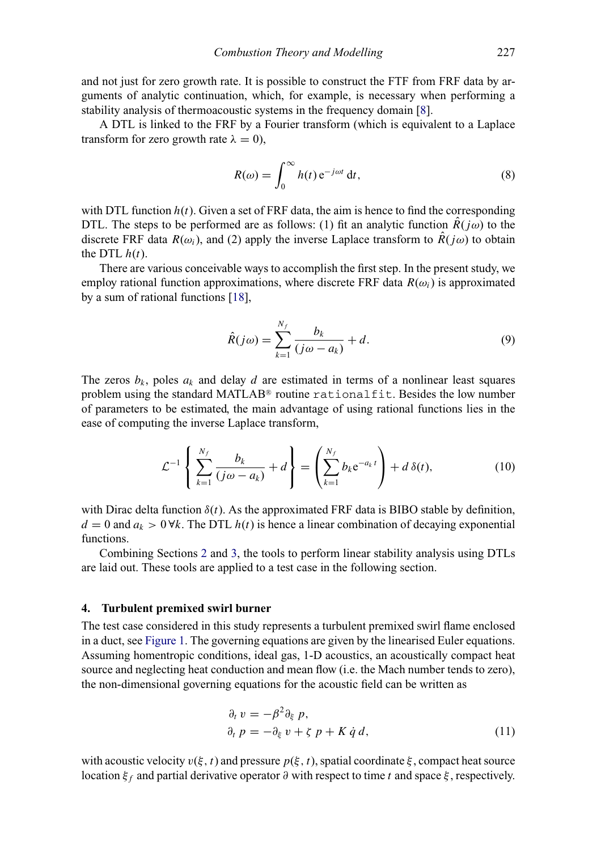and not just for zero growth rate. It is possible to construct the FTF from FRF data by arguments of analytic continuation, which, for example, is necessary when performing a stability analysis of thermoacoustic systems in the frequency domain [\[8\]](#page-13-0).

A DTL is linked to the FRF by a Fourier transform (which is equivalent to a Laplace transform for zero growth rate  $\lambda = 0$ ),

$$
R(\omega) = \int_0^\infty h(t) e^{-j\omega t} dt,
$$
\n(8)

with DTL function  $h(t)$ . Given a set of FRF data, the aim is hence to find the corresponding DTL. The steps to be performed are as follows: (1) fit an analytic function  $\hat{R}(i\omega)$  to the discrete FRF data  $R(\omega_i)$ , and (2) apply the inverse Laplace transform to  $\hat{R}(i\omega)$  to obtain the DTL  $h(t)$ .

There are various conceivable ways to accomplish the first step. In the present study, we employ rational function approximations, where discrete FRF data  $R(\omega_i)$  is approximated by a sum of rational functions [\[18\]](#page-13-5),

$$
\hat{R}(j\omega) = \sum_{k=1}^{N_f} \frac{b_k}{(j\omega - a_k)} + d. \tag{9}
$$

The zeros  $b_k$ , poles  $a_k$  and delay d are estimated in terms of a nonlinear least squares problem using the standard MATLAB® routine rational fit. Besides the low number of parameters to be estimated, the main advantage of using rational functions lies in the ease of computing the inverse Laplace transform,

$$
\mathcal{L}^{-1}\left\{\sum_{k=1}^{N_f}\frac{b_k}{(j\omega-a_k)}+d\right\} = \left(\sum_{k=1}^{N_f}b_k e^{-a_k t}\right) + d\,\delta(t),\tag{10}
$$

with Dirac delta function  $\delta(t)$ . As the approximated FRF data is BIBO stable by definition,  $d = 0$  and  $a_k > 0$   $\forall k$ . The DTL  $h(t)$  is hence a linear combination of decaying exponential functions.

Combining Sections [2](#page-3-0) and [3,](#page-4-0) the tools to perform linear stability analysis using DTLs are laid out. These tools are applied to a test case in the following section.

#### **4. Turbulent premixed swirl burner**

<span id="page-5-0"></span>The test case considered in this study represents a turbulent premixed swirl flame enclosed in a duct, see [Figure 1.](#page-6-0) The governing equations are given by the linearised Euler equations. Assuming homentropic conditions, ideal gas, 1-D acoustics, an acoustically compact heat source and neglecting heat conduction and mean flow (i.e. the Mach number tends to zero), the non-dimensional governing equations for the acoustic field can be written as

$$
\begin{aligned}\n\partial_t v &= -\beta^2 \partial_{\xi} p, \\
\partial_t p &= -\partial_{\xi} v + \zeta p + K \dot{q} d,\n\end{aligned} \tag{11}
$$

with acoustic velocity  $v(\xi, t)$  and pressure  $p(\xi, t)$ , spatial coordinate  $\xi$ , compact heat source location  $ξ<sub>f</sub>$  and partial derivative operator  $∂$  with respect to time t and space  $ξ$ , respectively.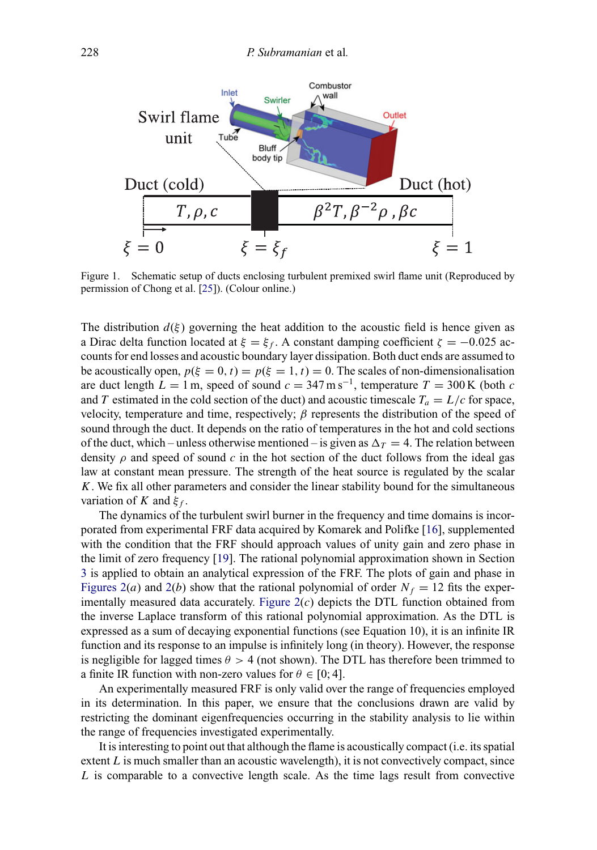<span id="page-6-0"></span>

Figure 1. Schematic setup of ducts enclosing turbulent premixed swirl flame unit (Reproduced by permission of Chong et al. [\[25\]](#page-13-6)). (Colour online.)

The distribution  $d(\xi)$  governing the heat addition to the acoustic field is hence given as a Dirac delta function located at  $\xi = \xi_f$ . A constant damping coefficient  $\zeta = -0.025$  accounts for end losses and acoustic boundary layer dissipation. Both duct ends are assumed to be acoustically open,  $p(\xi = 0, t) = p(\xi = 1, t) = 0$ . The scales of non-dimensionalisation are duct length  $L = 1$  m, speed of sound  $c = 347$  m s<sup>-1</sup>, temperature  $T = 300$  K (both c and T estimated in the cold section of the duct) and acoustic timescale  $T_a = L/c$  for space, velocity, temperature and time, respectively;  $\beta$  represents the distribution of the speed of sound through the duct. It depends on the ratio of temperatures in the hot and cold sections of the duct, which – unless otherwise mentioned – is given as  $\Delta_T = 4$ . The relation between density  $\rho$  and speed of sound c in the hot section of the duct follows from the ideal gas law at constant mean pressure. The strength of the heat source is regulated by the scalar K. We fix all other parameters and consider the linear stability bound for the simultaneous variation of K and  $\xi_f$ .

The dynamics of the turbulent swirl burner in the frequency and time domains is incorporated from experimental FRF data acquired by Komarek and Polifke [\[16\]](#page-13-3), supplemented with the condition that the FRF should approach values of unity gain and zero phase in the limit of zero frequency [\[19\]](#page-13-7). The rational polynomial approximation shown in Section [3](#page-4-0) is applied to obtain an analytical expression of the FRF. The plots of gain and phase in [Figures 2\(](#page-7-1)*a*) and [2\(](#page-7-1)*b*) show that the rational polynomial of order  $N_f = 12$  fits the experimentally measured data accurately. Figure  $2(c)$  depicts the DTL function obtained from the inverse Laplace transform of this rational polynomial approximation. As the DTL is expressed as a sum of decaying exponential functions (see Equation 10), it is an infinite IR function and its response to an impulse is infinitely long (in theory). However, the response is negligible for lagged times  $\theta > 4$  (not shown). The DTL has therefore been trimmed to a finite IR function with non-zero values for  $\theta \in [0, 4]$ .

An experimentally measured FRF is only valid over the range of frequencies employed in its determination. In this paper, we ensure that the conclusions drawn are valid by restricting the dominant eigenfrequencies occurring in the stability analysis to lie within the range of frequencies investigated experimentally.

It is interesting to point out that although the flame is acoustically compact (i.e. its spatial extent  $L$  is much smaller than an acoustic wavelength), it is not convectively compact, since  $L$  is comparable to a convective length scale. As the time lags result from convective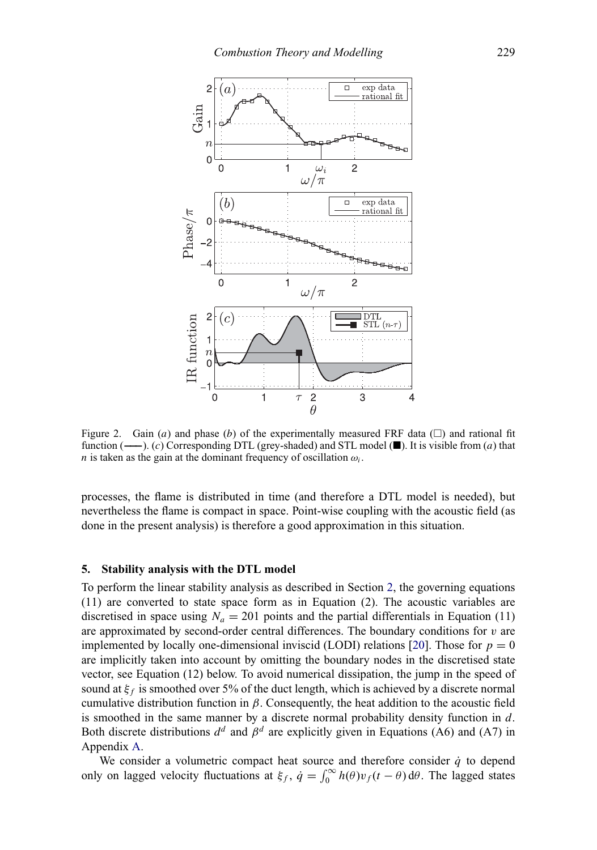<span id="page-7-1"></span>

Figure 2. Gain (a) and phase (b) of the experimentally measured FRF data  $(\Box)$  and rational fit function  $($ —− $)$ . (c) Corresponding DTL (grey-shaded) and STL model ( $\blacksquare$ ). It is visible from (a) that *n* is taken as the gain at the dominant frequency of oscillation  $\omega_i$ .

processes, the flame is distributed in time (and therefore a DTL model is needed), but nevertheless the flame is compact in space. Point-wise coupling with the acoustic field (as done in the present analysis) is therefore a good approximation in this situation.

# **5. Stability analysis with the DTL model**

<span id="page-7-0"></span>To perform the linear stability analysis as described in Section [2,](#page-3-0) the governing equations (11) are converted to state space form as in Equation (2). The acoustic variables are discretised in space using  $N_a = 201$  points and the partial differentials in Equation (11) are approximated by second-order central differences. The boundary conditions for  $v$  are implemented by locally one-dimensional inviscid (LODI) relations [\[20\]](#page-13-8). Those for  $p = 0$ are implicitly taken into account by omitting the boundary nodes in the discretised state vector, see Equation (12) below. To avoid numerical dissipation, the jump in the speed of sound at  $\xi_f$  is smoothed over 5% of the duct length, which is achieved by a discrete normal cumulative distribution function in  $\beta$ . Consequently, the heat addition to the acoustic field is smoothed in the same manner by a discrete normal probability density function in  $d$ . Both discrete distributions  $d^d$  and  $\beta^d$  are explicitly given in Equations (A6) and (A7) in Appendix [A.](#page-13-9)

We consider a volumetric compact heat source and therefore consider  $\dot{q}$  to depend only on lagged velocity fluctuations at  $\xi_f$ ,  $\dot{q} = \int_0^\infty h(\theta)v_f(t - \theta) d\theta$ . The lagged states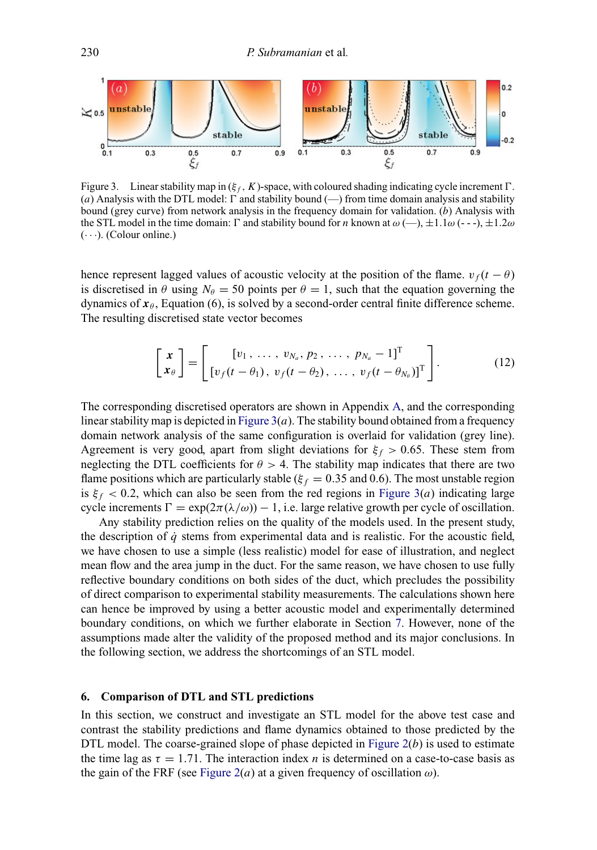<span id="page-8-1"></span>

Figure 3. Linear stability map in  $(\xi_f, K)$ -space, with coloured shading indicating cycle increment  $\Gamma$ . (a) Analysis with the DTL model:  $\Gamma$  and stability bound (—) from time domain analysis and stability bound (grey curve) from network analysis in the frequency domain for validation. (b) Analysis with the STL model in the time domain:  $\Gamma$  and stability bound for n known at  $\omega$  (--),  $\pm 1.1\omega$  (---),  $\pm 1.2\omega$  $(\cdots)$ . (Colour online.)

hence represent lagged values of acoustic velocity at the position of the flame.  $v_f(t - \theta)$ is discretised in  $\theta$  using  $N_\theta = 50$  points per  $\theta = 1$ , such that the equation governing the dynamics of  $x_{\theta}$ , Equation (6), is solved by a second-order central finite difference scheme. The resulting discretised state vector becomes

$$
\begin{bmatrix} x \\ x_{\theta} \end{bmatrix} = \begin{bmatrix} [v_1, \ldots, v_{N_a}, p_2, \ldots, p_{N_a} - 1]^T \\ [v_f(t - \theta_1), v_f(t - \theta_2), \ldots, v_f(t - \theta_{N_{\theta}})]^T \end{bmatrix}.
$$
 (12)

The corresponding discretised operators are shown in Appendix [A,](#page-13-9) and the corresponding linear stability map is depicted in Figure  $3(a)$ . The stability bound obtained from a frequency domain network analysis of the same configuration is overlaid for validation (grey line). Agreement is very good, apart from slight deviations for  $\xi_f > 0.65$ . These stem from neglecting the DTL coefficients for  $\theta > 4$ . The stability map indicates that there are two flame positions which are particularly stable ( $\xi_f = 0.35$  and 0.6). The most unstable region is  $\xi_f < 0.2$ , which can also be seen from the red regions in [Figure 3\(](#page-8-1)*a*) indicating large cycle increments  $\Gamma = \exp(2\pi (\lambda/\omega)) - 1$ , i.e. large relative growth per cycle of oscillation.

Any stability prediction relies on the quality of the models used. In the present study, the description of  $\dot{q}$  stems from experimental data and is realistic. For the acoustic field, we have chosen to use a simple (less realistic) model for ease of illustration, and neglect mean flow and the area jump in the duct. For the same reason, we have chosen to use fully reflective boundary conditions on both sides of the duct, which precludes the possibility of direct comparison to experimental stability measurements. The calculations shown here can hence be improved by using a better acoustic model and experimentally determined boundary conditions, on which we further elaborate in Section [7.](#page-11-0) However, none of the assumptions made alter the validity of the proposed method and its major conclusions. In the following section, we address the shortcomings of an STL model.

# **6. Comparison of DTL and STL predictions**

<span id="page-8-0"></span>In this section, we construct and investigate an STL model for the above test case and contrast the stability predictions and flame dynamics obtained to those predicted by the DTL model. The coarse-grained slope of phase depicted in Figure  $2(b)$  is used to estimate the time lag as  $\tau = 1.71$ . The interaction index *n* is determined on a case-to-case basis as the gain of the FRF (see [Figure 2\(](#page-7-1)*a*) at a given frequency of oscillation  $\omega$ ).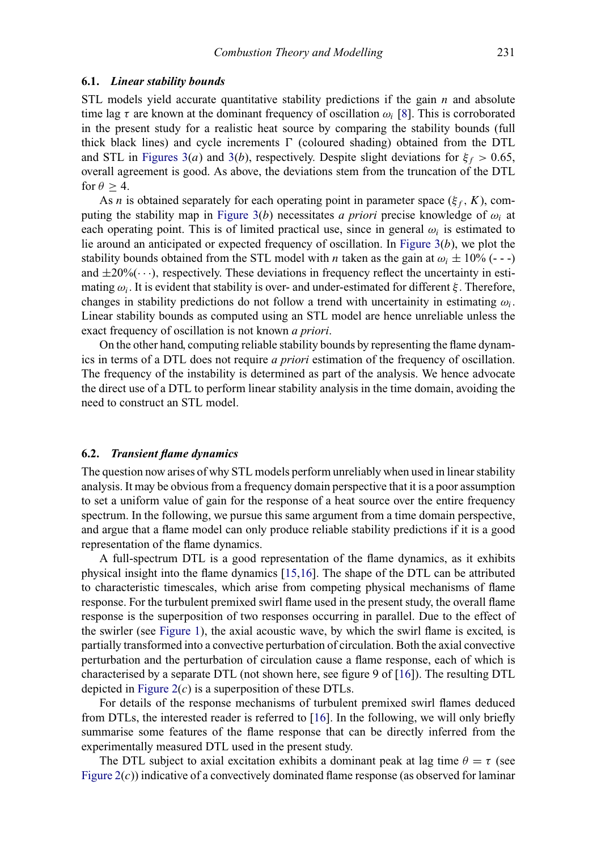#### **6.1.** *Linear stability bounds*

STL models yield accurate quantitative stability predictions if the gain  $n$  and absolute time lag  $\tau$  are known at the dominant frequency of oscillation  $\omega_i$  [\[8\]](#page-13-0). This is corroborated in the present study for a realistic heat source by comparing the stability bounds (full thick black lines) and cycle increments  $\Gamma$  (coloured shading) obtained from the DTL and STL in [Figures 3\(](#page-8-1)a) and [3\(](#page-8-1)b), respectively. Despite slight deviations for  $\xi_f > 0.65$ , overall agreement is good. As above, the deviations stem from the truncation of the DTL for  $\theta > 4$ .

As n is obtained separately for each operating point in parameter space ( $\xi_f$ , K), computing the stability map in Figure  $3(b)$  necessitates *a priori* precise knowledge of  $\omega_i$  at each operating point. This is of limited practical use, since in general  $\omega_i$  is estimated to lie around an anticipated or expected frequency of oscillation. In Figure  $3(b)$ , we plot the stability bounds obtained from the STL model with *n* taken as the gain at  $\omega_i \pm 10\%$  (---) and  $\pm 20\%$  ( $\cdots$ ), respectively. These deviations in frequency reflect the uncertainty in estimating  $\omega_i$ . It is evident that stability is over- and under-estimated for different  $\xi$ . Therefore, changes in stability predictions do not follow a trend with uncertainity in estimating  $\omega_i$ . Linear stability bounds as computed using an STL model are hence unreliable unless the exact frequency of oscillation is not known *a priori*.

On the other hand, computing reliable stability bounds by representing the flame dynamics in terms of a DTL does not require *a priori* estimation of the frequency of oscillation. The frequency of the instability is determined as part of the analysis. We hence advocate the direct use of a DTL to perform linear stability analysis in the time domain, avoiding the need to construct an STL model.

#### **6.2.** *Transient flame dynamics*

The question now arises of why STL models perform unreliably when used in linear stability analysis. It may be obvious from a frequency domain perspective that it is a poor assumption to set a uniform value of gain for the response of a heat source over the entire frequency spectrum. In the following, we pursue this same argument from a time domain perspective, and argue that a flame model can only produce reliable stability predictions if it is a good representation of the flame dynamics.

A full-spectrum DTL is a good representation of the flame dynamics, as it exhibits physical insight into the flame dynamics [\[15,](#page-13-2)[16\]](#page-13-3). The shape of the DTL can be attributed to characteristic timescales, which arise from competing physical mechanisms of flame response. For the turbulent premixed swirl flame used in the present study, the overall flame response is the superposition of two responses occurring in parallel. Due to the effect of the swirler (see [Figure 1\)](#page-6-0), the axial acoustic wave, by which the swirl flame is excited, is partially transformed into a convective perturbation of circulation. Both the axial convective perturbation and the perturbation of circulation cause a flame response, each of which is characterised by a separate DTL (not shown here, see figure 9 of [\[16\]](#page-13-3)). The resulting DTL depicted in Figure  $2(c)$  is a superposition of these DTLs.

For details of the response mechanisms of turbulent premixed swirl flames deduced from DTLs, the interested reader is referred to [\[16\]](#page-13-3). In the following, we will only briefly summarise some features of the flame response that can be directly inferred from the experimentally measured DTL used in the present study.

The DTL subject to axial excitation exhibits a dominant peak at lag time  $\theta = \tau$  (see Figure  $2(c)$ ) indicative of a convectively dominated flame response (as observed for laminar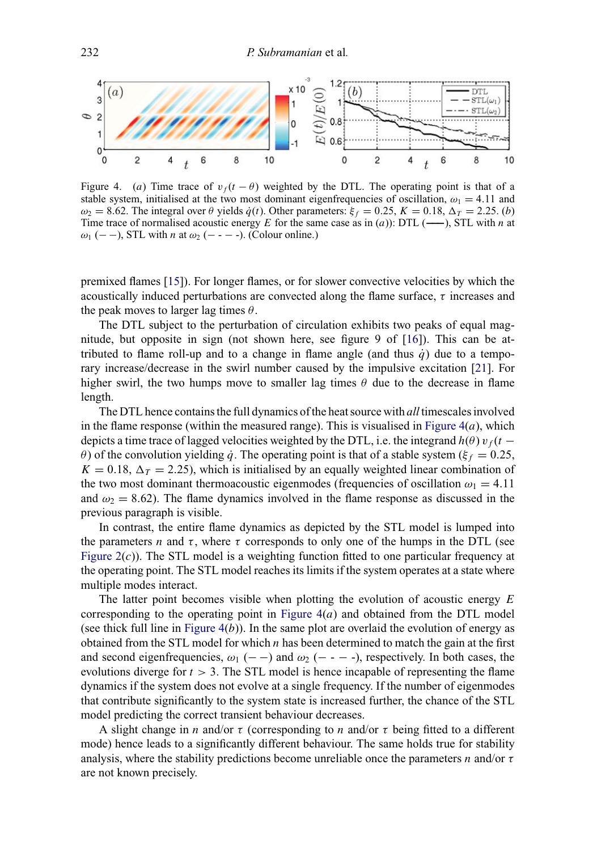<span id="page-10-0"></span>

Figure 4. (a) Time trace of  $v_f(t - \theta)$  weighted by the DTL. The operating point is that of a stable system, initialised at the two most dominant eigenfrequencies of oscillation,  $\omega_1 = 4.11$  and  $\omega_2 = 8.62$ . The integral over  $\theta$  yields  $\dot{q}(t)$ . Other parameters:  $\xi_f = 0.25$ ,  $K = 0.18$ ,  $\Delta_T = 2.25$ . (b) Time trace of normalised acoustic energy <sup>E</sup> for the same case as in (a)): DTL (**−−−**), STL with <sup>n</sup> at  $ω_1$  (− −), STL with *n* at  $ω_2$  (− − − -). (Colour online.)

premixed flames [\[15\]](#page-13-2)). For longer flames, or for slower convective velocities by which the acoustically induced perturbations are convected along the flame surface,  $\tau$  increases and the peak moves to larger lag times  $\theta$ .

The DTL subject to the perturbation of circulation exhibits two peaks of equal magnitude, but opposite in sign (not shown here, see figure 9 of [\[16\]](#page-13-3)). This can be attributed to flame roll-up and to a change in flame angle (and thus  $\dot{q}$ ) due to a temporary increase/decrease in the swirl number caused by the impulsive excitation [\[21\]](#page-13-10). For higher swirl, the two humps move to smaller lag times  $\theta$  due to the decrease in flame length.

The DTL hence contains the full dynamics of the heat source with *all* timescales involved in the flame response (within the measured range). This is visualised in Figure  $4(a)$ , which depicts a time trace of lagged velocities weighted by the DTL, i.e. the integrand  $h(\theta) v_f(t$ θ) of the convolution yielding *q*<sup>2</sup>. The operating point is that of a stable system ( $ξ<sub>f</sub> = 0.25$ ,  $K = 0.18$ ,  $\Delta_T = 2.25$ ), which is initialised by an equally weighted linear combination of the two most dominant thermoacoustic eigenmodes (frequencies of oscillation  $\omega_1 = 4.11$ and  $\omega_2 = 8.62$ ). The flame dynamics involved in the flame response as discussed in the previous paragraph is visible.

In contrast, the entire flame dynamics as depicted by the STL model is lumped into the parameters *n* and  $\tau$ , where  $\tau$  corresponds to only one of the humps in the DTL (see Figure  $2(c)$ ). The STL model is a weighting function fitted to one particular frequency at the operating point. The STL model reaches its limits if the system operates at a state where multiple modes interact.

The latter point becomes visible when plotting the evolution of acoustic energy  $E$ corresponding to the operating point in Figure  $4(a)$  and obtained from the DTL model (see thick full line in Figure  $4(b)$ ). In the same plot are overlaid the evolution of energy as obtained from the STL model for which  $n$  has been determined to match the gain at the first and second eigenfrequencies,  $\omega_1$  (− −) and  $\omega_2$  (− − −), respectively. In both cases, the evolutions diverge for  $t > 3$ . The STL model is hence incapable of representing the flame dynamics if the system does not evolve at a single frequency. If the number of eigenmodes that contribute significantly to the system state is increased further, the chance of the STL model predicting the correct transient behaviour decreases.

A slight change in n and/or  $\tau$  (corresponding to n and/or  $\tau$  being fitted to a different mode) hence leads to a significantly different behaviour. The same holds true for stability analysis, where the stability predictions become unreliable once the parameters *n* and/or  $\tau$ are not known precisely.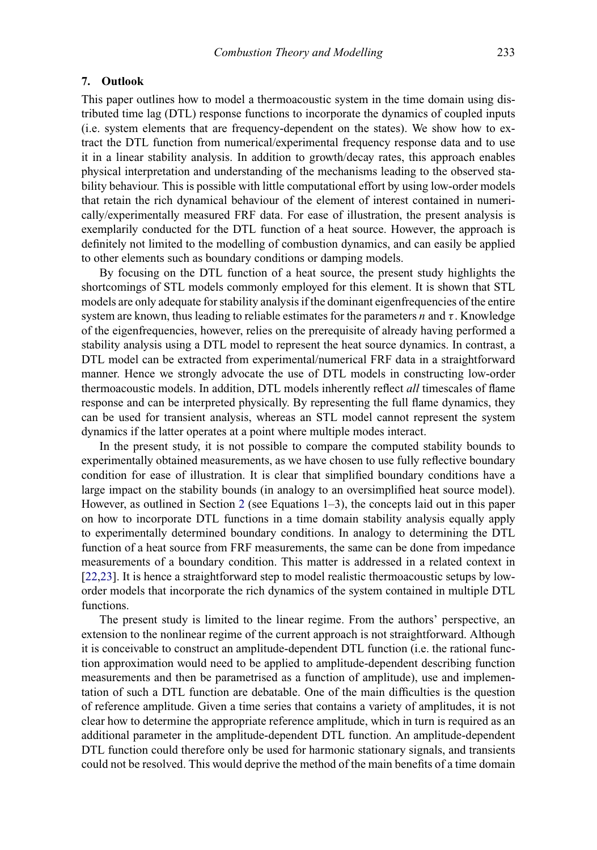#### <span id="page-11-0"></span>**7. Outlook**

This paper outlines how to model a thermoacoustic system in the time domain using distributed time lag (DTL) response functions to incorporate the dynamics of coupled inputs (i.e. system elements that are frequency-dependent on the states). We show how to extract the DTL function from numerical/experimental frequency response data and to use it in a linear stability analysis. In addition to growth/decay rates, this approach enables physical interpretation and understanding of the mechanisms leading to the observed stability behaviour. This is possible with little computational effort by using low-order models that retain the rich dynamical behaviour of the element of interest contained in numerically/experimentally measured FRF data. For ease of illustration, the present analysis is exemplarily conducted for the DTL function of a heat source. However, the approach is definitely not limited to the modelling of combustion dynamics, and can easily be applied to other elements such as boundary conditions or damping models.

By focusing on the DTL function of a heat source, the present study highlights the shortcomings of STL models commonly employed for this element. It is shown that STL models are only adequate for stability analysis if the dominant eigenfrequencies of the entire system are known, thus leading to reliable estimates for the parameters n and  $\tau$ . Knowledge of the eigenfrequencies, however, relies on the prerequisite of already having performed a stability analysis using a DTL model to represent the heat source dynamics. In contrast, a DTL model can be extracted from experimental/numerical FRF data in a straightforward manner. Hence we strongly advocate the use of DTL models in constructing low-order thermoacoustic models. In addition, DTL models inherently reflect *all* timescales of flame response and can be interpreted physically. By representing the full flame dynamics, they can be used for transient analysis, whereas an STL model cannot represent the system dynamics if the latter operates at a point where multiple modes interact.

In the present study, it is not possible to compare the computed stability bounds to experimentally obtained measurements, as we have chosen to use fully reflective boundary condition for ease of illustration. It is clear that simplified boundary conditions have a large impact on the stability bounds (in analogy to an oversimplified heat source model). However, as outlined in Section [2](#page-3-0) (see Equations 1–3), the concepts laid out in this paper on how to incorporate DTL functions in a time domain stability analysis equally apply to experimentally determined boundary conditions. In analogy to determining the DTL function of a heat source from FRF measurements, the same can be done from impedance measurements of a boundary condition. This matter is addressed in a related context in [\[22,](#page-13-11)[23\]](#page-13-12). It is hence a straightforward step to model realistic thermoacoustic setups by loworder models that incorporate the rich dynamics of the system contained in multiple DTL functions.

The present study is limited to the linear regime. From the authors' perspective, an extension to the nonlinear regime of the current approach is not straightforward. Although it is conceivable to construct an amplitude-dependent DTL function (i.e. the rational function approximation would need to be applied to amplitude-dependent describing function measurements and then be parametrised as a function of amplitude), use and implementation of such a DTL function are debatable. One of the main difficulties is the question of reference amplitude. Given a time series that contains a variety of amplitudes, it is not clear how to determine the appropriate reference amplitude, which in turn is required as an additional parameter in the amplitude-dependent DTL function. An amplitude-dependent DTL function could therefore only be used for harmonic stationary signals, and transients could not be resolved. This would deprive the method of the main benefits of a time domain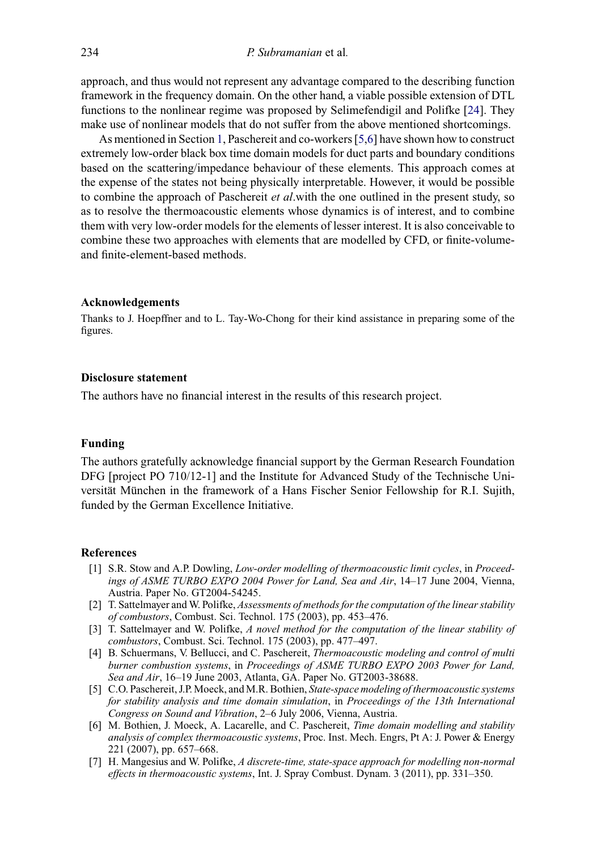approach, and thus would not represent any advantage compared to the describing function framework in the frequency domain. On the other hand, a viable possible extension of DTL functions to the nonlinear regime was proposed by Selimefendigil and Polifke [\[24\]](#page-13-13). They make use of nonlinear models that do not suffer from the above mentioned shortcomings.

As mentioned in Section [1,](#page-1-5) Paschereit and co-workers [\[5,](#page-12-2)[6\]](#page-12-3) have shown how to construct extremely low-order black box time domain models for duct parts and boundary conditions based on the scattering/impedance behaviour of these elements. This approach comes at the expense of the states not being physically interpretable. However, it would be possible to combine the approach of Paschereit *et al*.with the one outlined in the present study, so as to resolve the thermoacoustic elements whose dynamics is of interest, and to combine them with very low-order models for the elements of lesser interest. It is also conceivable to combine these two approaches with elements that are modelled by CFD, or finite-volumeand finite-element-based methods.

#### **Acknowledgements**

Thanks to J. Hoepffner and to L. Tay-Wo-Chong for their kind assistance in preparing some of the figures.

# **Disclosure statement**

The authors have no financial interest in the results of this research project.

#### **Funding**

The authors gratefully acknowledge financial support by the German Research Foundation DFG [project PO 710/12-1] and the Institute for Advanced Study of the Technische Universität München in the framework of a Hans Fischer Senior Fellowship for R.I. Sujith, funded by the German Excellence Initiative.

### **References**

- <span id="page-12-0"></span>[1] S.R. Stow and A.P. Dowling, *Low-order modelling of thermoacoustic limit cycles*, in *Proceedings of ASME TURBO EXPO 2004 Power for Land, Sea and Air*, 14–17 June 2004, Vienna, Austria. Paper No. GT2004-54245.
- [2] T. Sattelmayer and W. Polifke, *Assessments of methods for the computation of the linear stability of combustors*, Combust. Sci. Technol. 175 (2003), pp. 453–476.
- [3] T. Sattelmayer and W. Polifke, *A novel method for the computation of the linear stability of combustors*, Combust. Sci. Technol. 175 (2003), pp. 477–497.
- <span id="page-12-1"></span>[4] B. Schuermans, V. Bellucci, and C. Paschereit, *Thermoacoustic modeling and control of multi burner combustion systems*, in *Proceedings of ASME TURBO EXPO 2003 Power for Land, Sea and Air*, 16–19 June 2003, Atlanta, GA. Paper No. GT2003-38688.
- <span id="page-12-2"></span>[5] C.O. Paschereit, J.P. Moeck, and M.R. Bothien, *State-space modeling of thermoacoustic systems for stability analysis and time domain simulation*, in *Proceedings of the 13th International Congress on Sound and Vibration*, 2–6 July 2006, Vienna, Austria.
- <span id="page-12-3"></span>[6] M. Bothien, J. Moeck, A. Lacarelle, and C. Paschereit, *Time domain modelling and stability analysis of complex thermoacoustic systems*, Proc. Inst. Mech. Engrs, Pt A: J. Power & Energy 221 (2007), pp. 657–668.
- [7] H. Mangesius and W. Polifke, *A discrete-time, state-space approach for modelling non-normal effects in thermoacoustic systems*, Int. J. Spray Combust. Dynam. 3 (2011), pp. 331–350.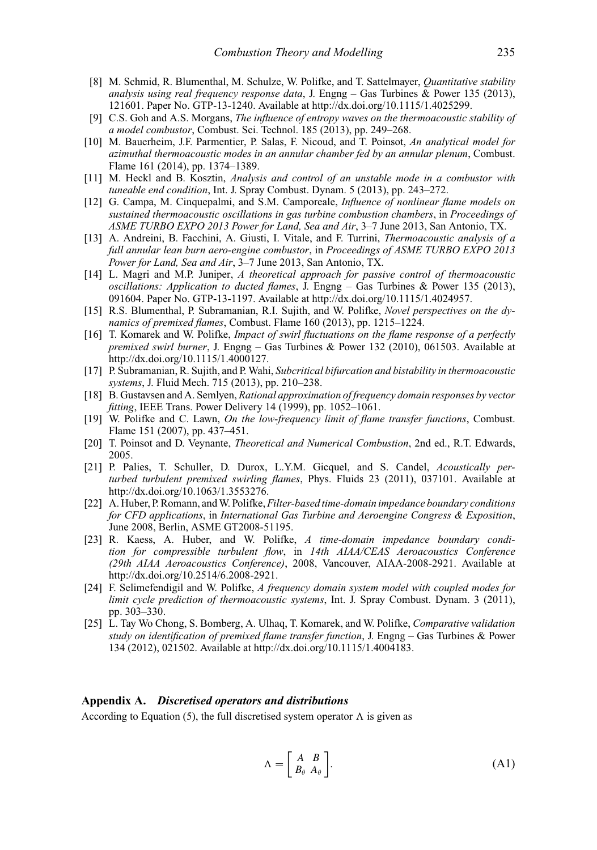- <span id="page-13-0"></span>[8] M. Schmid, R. Blumenthal, M. Schulze, W. Polifke, and T. Sattelmayer, *Quantitative stability analysis using real frequency response data*, J. Engng – Gas Turbines & Power 135 (2013), 121601. Paper No. GTP-13-1240. Available at [http://dx.doi.org/10.1115/1.4025299.](http://dx.doi.org/10.1115/1.4025299)
- <span id="page-13-1"></span>[9] C.S. Goh and A.S. Morgans, *The influence of entropy waves on the thermoacoustic stability of a model combustor*, Combust. Sci. Technol. 185 (2013), pp. 249–268.
- [10] M. Bauerheim, J.F. Parmentier, P. Salas, F. Nicoud, and T. Poinsot, *An analytical model for azimuthal thermoacoustic modes in an annular chamber fed by an annular plenum*, Combust. Flame 161 (2014), pp. 1374–1389.
- [11] M. Heckl and B. Kosztin, *Analysis and control of an unstable mode in a combustor with tuneable end condition*, Int. J. Spray Combust. Dynam. 5 (2013), pp. 243–272.
- [12] G. Campa, M. Cinquepalmi, and S.M. Camporeale, *Influence of nonlinear flame models on sustained thermoacoustic oscillations in gas turbine combustion chambers*, in *Proceedings of ASME TURBO EXPO 2013 Power for Land, Sea and Air*, 3–7 June 2013, San Antonio, TX.
- [13] A. Andreini, B. Facchini, A. Giusti, I. Vitale, and F. Turrini, *Thermoacoustic analysis of a full annular lean burn aero-engine combustor*, in *Proceedings of ASME TURBO EXPO 2013 Power for Land, Sea and Air*, 3–7 June 2013, San Antonio, TX.
- [14] L. Magri and M.P. Juniper, *A theoretical approach for passive control of thermoacoustic oscillations: Application to ducted flames*, J. Engng – Gas Turbines & Power 135 (2013), 091604. Paper No. GTP-13-1197. Available at [http://dx.doi.org/10.1115/1.4024957.](http://dx.doi.org/10.1115/1.4024957)
- <span id="page-13-2"></span>[15] R.S. Blumenthal, P. Subramanian, R.I. Sujith, and W. Polifke, *Novel perspectives on the dynamics of premixed flames*, Combust. Flame 160 (2013), pp. 1215–1224.
- <span id="page-13-3"></span>[16] T. Komarek and W. Polifke, *Impact of swirl fluctuations on the flame response of a perfectly premixed swirl burner*, J. Engng – Gas Turbines & Power 132 (2010), 061503. Available at [http://dx.doi.org/10.1115/1.4000127.](http://dx.doi.org/10.1115/1.4000127)
- <span id="page-13-4"></span>[17] P. Subramanian, R. Sujith, and P. Wahi, *Subcritical bifurcation and bistability in thermoacoustic systems*, J. Fluid Mech. 715 (2013), pp. 210–238.
- <span id="page-13-5"></span>[18] B. Gustavsen and A. Semlyen, *Rational approximation of frequency domain responses by vector fitting*, IEEE Trans. Power Delivery 14 (1999), pp. 1052–1061.
- <span id="page-13-7"></span>[19] W. Polifke and C. Lawn, *On the low-frequency limit of flame transfer functions*, Combust. Flame 151 (2007), pp. 437–451.
- <span id="page-13-8"></span>[20] T. Poinsot and D. Veynante, *Theoretical and Numerical Combustion*, 2nd ed., R.T. Edwards, 2005.
- <span id="page-13-10"></span>[21] P. Palies, T. Schuller, D. Durox, L.Y.M. Gicquel, and S. Candel, *Acoustically perturbed turbulent premixed swirling flames*, Phys. Fluids 23 (2011), 037101. Available at [http://dx.doi.org/10.1063/1.3553276.](http://dx.doi.org/10.1063/1.3553276)
- <span id="page-13-11"></span>[22] A. Huber, P. Romann, andW. Polifke,*Filter-based time-domain impedance boundary conditions for CFD applications*, in *International Gas Turbine and Aeroengine Congress & Exposition*, June 2008, Berlin, ASME GT2008-51195.
- <span id="page-13-12"></span>[23] R. Kaess, A. Huber, and W. Polifke, *A time-domain impedance boundary condition for compressible turbulent flow*, in *14th AIAA/CEAS Aeroacoustics Conference (29th AIAA Aeroacoustics Conference)*, 2008, Vancouver, AIAA-2008-2921. Available at [http://dx.doi.org/10.2514/6.2008-2921.](http://dx.doi.org/10.2514/6.2008-2921)
- <span id="page-13-13"></span>[24] F. Selimefendigil and W. Polifke, *A frequency domain system model with coupled modes for limit cycle prediction of thermoacoustic systems*, Int. J. Spray Combust. Dynam. 3 (2011), pp. 303–330.
- <span id="page-13-6"></span>[25] L. Tay Wo Chong, S. Bomberg, A. Ulhaq, T. Komarek, and W. Polifke, *Comparative validation study on identification of premixed flame transfer function*, J. Engng – Gas Turbines & Power 134 (2012), 021502. Available at [http://dx.doi.org/10.1115/1.4004183.](http://dx.doi.org/10.1115/1.4004183)

#### **Appendix A.** *Discretised operators and distributions*

<span id="page-13-9"></span>According to Equation (5), the full discretised system operator  $\Lambda$  is given as

$$
\Lambda = \begin{bmatrix} A & B \\ B_{\theta} & A_{\theta} \end{bmatrix} .
$$
 (A1)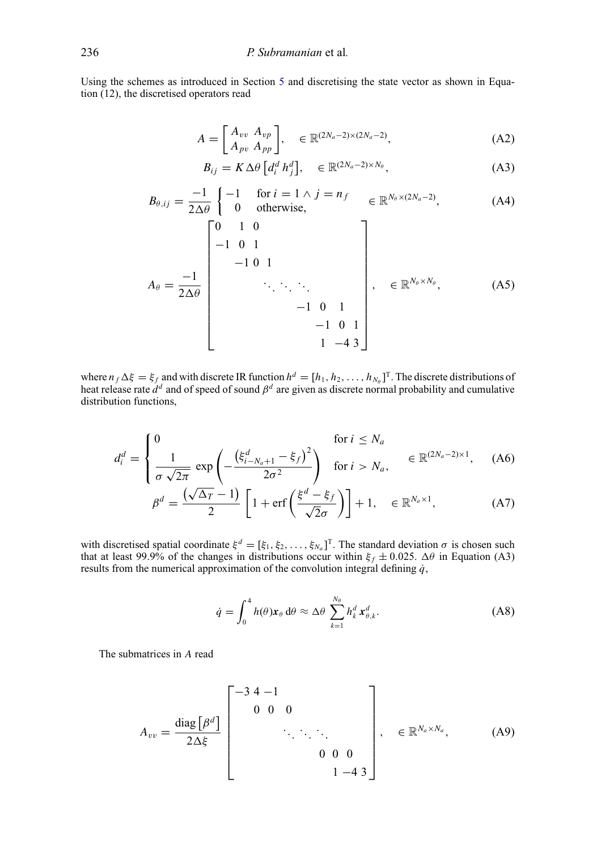Using the schemes as introduced in Section [5](#page-7-0) and discretising the state vector as shown in Equation (12), the discretised operators read

$$
A = \begin{bmatrix} A_{vv} & A_{vp} \\ A_{pv} & A_{pp} \end{bmatrix}, \quad \in \mathbb{R}^{(2N_a - 2) \times (2N_a - 2)},\tag{A2}
$$

$$
B_{ij} = K \Delta \theta \left[ d_i^d \, h_j^d \right], \quad \in \mathbb{R}^{(2N_a - 2) \times N_\theta}, \tag{A3}
$$

$$
B_{\theta,ij} = \frac{-1}{2\Delta\theta} \begin{cases} -1 & \text{for } i = 1 \land j = n_f \\ 0 & \text{otherwise,} \end{cases} \in \mathbb{R}^{N_{\theta} \times (2N_a - 2)},\tag{A4}
$$

$$
A_{\theta} = \frac{-1}{2\Delta\theta} \begin{bmatrix} 0 & 1 & 0 \\ -1 & 0 & 1 \\ & & \ddots & \ddots & \ddots \\ & & & & -1 & 0 & 1 \\ & & & & & -1 & 0 & 1 \\ & & & & & & 1 & -4 & 3 \end{bmatrix}, \in \mathbb{R}^{N_{\theta} \times N_{\theta}},
$$
 (A5)

where  $n_f \Delta \xi = \xi_{f}$  and with discrete IR function  $h^d = [h_1, h_2, \dots, h_{N_\theta}]^T$ . The discrete distributions of heat release rate  $d^d$  and of speed of sound  $\beta^d$  are given as discrete normal probability and cumulative distribution functions,

$$
d_i^d = \begin{cases} 0 & \text{for } i \le N_a \\ \frac{1}{\sigma \sqrt{2\pi}} \exp\left(-\frac{\left(\xi_{i-N_a+1}^d - \xi_f\right)^2}{2\sigma^2}\right) & \text{for } i > N_a, \end{cases} \in \mathbb{R}^{(2N_a - 2) \times 1}, \quad \text{(A6)}
$$

$$
\beta^d = \frac{(\sqrt{\Delta_T} - 1)}{2} \left[ 1 + \text{erf}\left(\frac{\xi^d - \xi_f}{\sqrt{2}\sigma}\right) \right] + 1, \quad \in \mathbb{R}^{N_a \times 1},\tag{A7}
$$

with discretised spatial coordinate  $\xi^d = [\xi_1, \xi_2, \dots, \xi_{N_a}]^T$ . The standard deviation  $\sigma$  is chosen such that at least 99.9% of the changes in distributions occur within  $\xi_f \pm 0.025$ .  $\Delta\theta$  in Equation (A3) results from the numerical approximation of the convolution integral defining  $\dot{q}$ ,

$$
\dot{q} = \int_0^4 h(\theta) \mathbf{x}_{\theta} d\theta \approx \Delta \theta \sum_{k=1}^{N_{\theta}} h_k^d \mathbf{x}_{\theta,k}^d.
$$
 (A8)

The submatrices in A read

$$
A_{vv} = \frac{\text{diag}\left[\beta^d\right]}{2\Delta\xi} \begin{bmatrix} -3 & 4 & -1 & & & \\ & 0 & 0 & 0 & & \\ & & \ddots & \ddots & \ddots & \\ & & & 0 & 0 & 0 \\ & & & & 1 & -4 & 3 \end{bmatrix}, \in \mathbb{R}^{N_a \times N_a}, \quad (A9)
$$